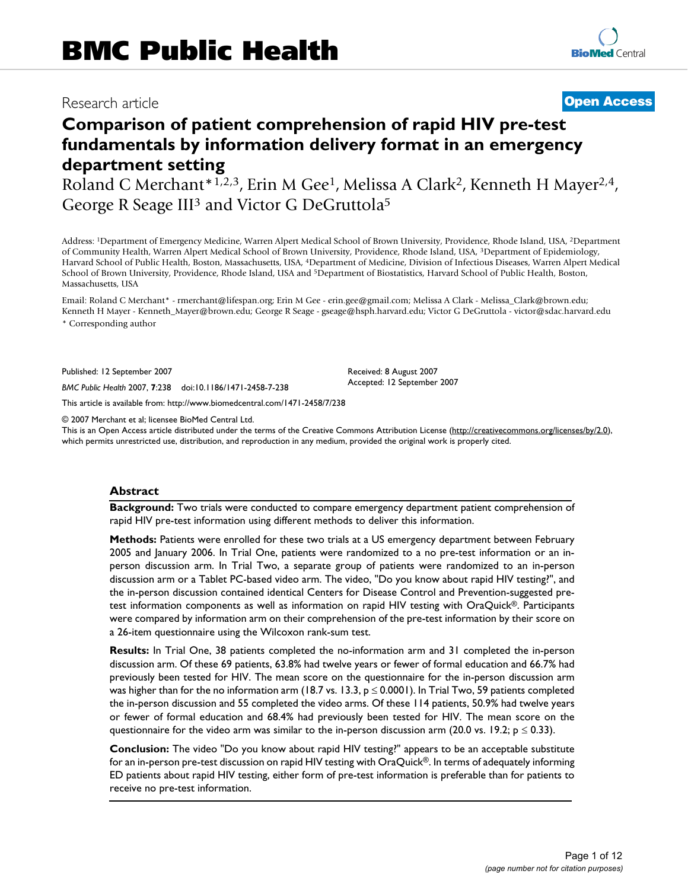# Research article **[Open Access](http://www.biomedcentral.com/info/about/charter/)**

# **Comparison of patient comprehension of rapid HIV pre-test fundamentals by information delivery format in an emergency department setting**

Roland C Merchant\*<sup>1,2,3</sup>, Erin M Gee<sup>1</sup>, Melissa A Clark<sup>2</sup>, Kenneth H Mayer<sup>2,4</sup>, George R Seage III<sup>3</sup> and Victor G DeGruttola<sup>5</sup>

Address: 1Department of Emergency Medicine, Warren Alpert Medical School of Brown University, Providence, Rhode Island, USA, 2Department of Community Health, Warren Alpert Medical School of Brown University, Providence, Rhode Island, USA, 3Department of Epidemiology, Harvard School of Public Health, Boston, Massachusetts, USA, 4Department of Medicine, Division of Infectious Diseases, Warren Alpert Medical School of Brown University, Providence, Rhode Island, USA and <sup>5</sup>Department of Biostatistics, Harvard School of Public Health, Boston, Massachusetts, USA

Email: Roland C Merchant\* - rmerchant@lifespan.org; Erin M Gee - erin.gee@gmail.com; Melissa A Clark - Melissa\_Clark@brown.edu; Kenneth H Mayer - Kenneth\_Mayer@brown.edu; George R Seage - gseage@hsph.harvard.edu; Victor G DeGruttola - victor@sdac.harvard.edu \* Corresponding author

> Received: 8 August 2007 Accepted: 12 September 2007

Published: 12 September 2007

*BMC Public Health* 2007, **7**:238 doi:10.1186/1471-2458-7-238

[This article is available from: http://www.biomedcentral.com/1471-2458/7/238](http://www.biomedcentral.com/1471-2458/7/238)

© 2007 Merchant et al; licensee BioMed Central Ltd.

This is an Open Access article distributed under the terms of the Creative Commons Attribution License [\(http://creativecommons.org/licenses/by/2.0\)](http://creativecommons.org/licenses/by/2.0), which permits unrestricted use, distribution, and reproduction in any medium, provided the original work is properly cited.

#### **Abstract**

**Background:** Two trials were conducted to compare emergency department patient comprehension of rapid HIV pre-test information using different methods to deliver this information.

**Methods:** Patients were enrolled for these two trials at a US emergency department between February 2005 and January 2006. In Trial One, patients were randomized to a no pre-test information or an inperson discussion arm. In Trial Two, a separate group of patients were randomized to an in-person discussion arm or a Tablet PC-based video arm. The video, "Do you know about rapid HIV testing?", and the in-person discussion contained identical Centers for Disease Control and Prevention-suggested pretest information components as well as information on rapid HIV testing with OraQuick®. Participants were compared by information arm on their comprehension of the pre-test information by their score on a 26-item questionnaire using the Wilcoxon rank-sum test.

**Results:** In Trial One, 38 patients completed the no-information arm and 31 completed the in-person discussion arm. Of these 69 patients, 63.8% had twelve years or fewer of formal education and 66.7% had previously been tested for HIV. The mean score on the questionnaire for the in-person discussion arm was higher than for the no information arm (18.7 vs. 13.3,  $p \le 0.0001$ ). In Trial Two, 59 patients completed the in-person discussion and 55 completed the video arms. Of these 114 patients, 50.9% had twelve years or fewer of formal education and 68.4% had previously been tested for HIV. The mean score on the questionnaire for the video arm was similar to the in-person discussion arm (20.0 vs. 19.2;  $p \le 0.33$ ).

**Conclusion:** The video "Do you know about rapid HIV testing?" appears to be an acceptable substitute for an in-person pre-test discussion on rapid HIV testing with OraQuick®. In terms of adequately informing ED patients about rapid HIV testing, either form of pre-test information is preferable than for patients to receive no pre-test information.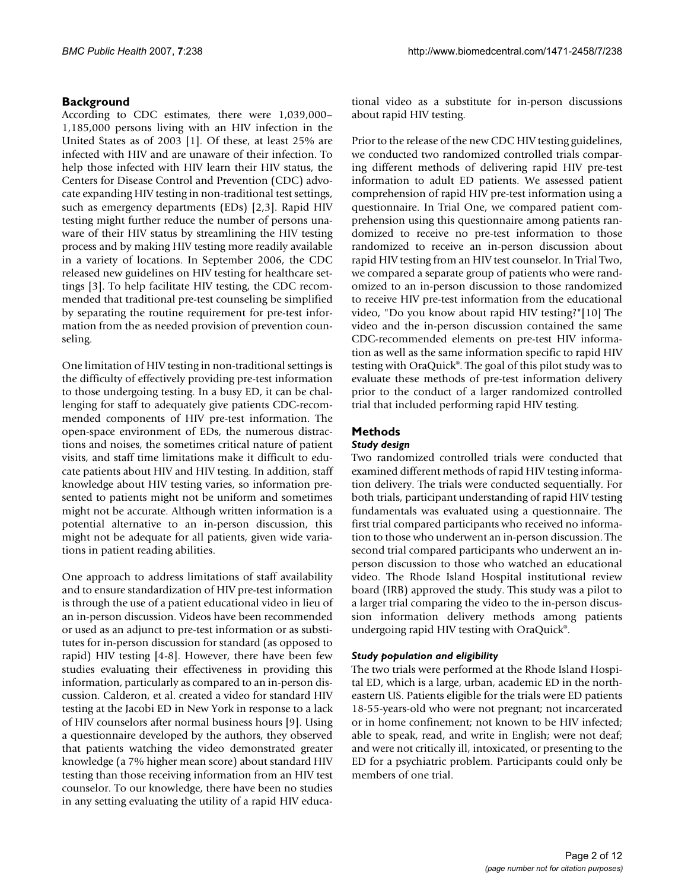# **Background**

According to CDC estimates, there were 1,039,000– 1,185,000 persons living with an HIV infection in the United States as of 2003 [1]. Of these, at least 25% are infected with HIV and are unaware of their infection. To help those infected with HIV learn their HIV status, the Centers for Disease Control and Prevention (CDC) advocate expanding HIV testing in non-traditional test settings, such as emergency departments (EDs) [[2](#page-11-0),3]. Rapid HIV testing might further reduce the number of persons unaware of their HIV status by streamlining the HIV testing process and by making HIV testing more readily available in a variety of locations. In September 2006, the CDC released new guidelines on HIV testing for healthcare settings [3]. To help facilitate HIV testing, the CDC recommended that traditional pre-test counseling be simplified by separating the routine requirement for pre-test information from the as needed provision of prevention counseling.

One limitation of HIV testing in non-traditional settings is the difficulty of effectively providing pre-test information to those undergoing testing. In a busy ED, it can be challenging for staff to adequately give patients CDC-recommended components of HIV pre-test information. The open-space environment of EDs, the numerous distractions and noises, the sometimes critical nature of patient visits, and staff time limitations make it difficult to educate patients about HIV and HIV testing. In addition, staff knowledge about HIV testing varies, so information presented to patients might not be uniform and sometimes might not be accurate. Although written information is a potential alternative to an in-person discussion, this might not be adequate for all patients, given wide variations in patient reading abilities.

One approach to address limitations of staff availability and to ensure standardization of HIV pre-test information is through the use of a patient educational video in lieu of an in-person discussion. Videos have been recommended or used as an adjunct to pre-test information or as substitutes for in-person discussion for standard (as opposed to rapid) HIV testing [4-8]. However, there have been few studies evaluating their effectiveness in providing this information, particularly as compared to an in-person discussion. Calderon, et al. created a video for standard HIV testing at the Jacobi ED in New York in response to a lack of HIV counselors after normal business hours [9]. Using a questionnaire developed by the authors, they observed that patients watching the video demonstrated greater knowledge (a 7% higher mean score) about standard HIV testing than those receiving information from an HIV test counselor. To our knowledge, there have been no studies in any setting evaluating the utility of a rapid HIV educational video as a substitute for in-person discussions about rapid HIV testing.

Prior to the release of the new CDC HIV testing guidelines, we conducted two randomized controlled trials comparing different methods of delivering rapid HIV pre-test information to adult ED patients. We assessed patient comprehension of rapid HIV pre-test information using a questionnaire. In Trial One, we compared patient comprehension using this questionnaire among patients randomized to receive no pre-test information to those randomized to receive an in-person discussion about rapid HIV testing from an HIV test counselor. In Trial Two, we compared a separate group of patients who were randomized to an in-person discussion to those randomized to receive HIV pre-test information from the educational video, "Do you know about rapid HIV testing?"[10] The video and the in-person discussion contained the same CDC-recommended elements on pre-test HIV information as well as the same information specific to rapid HIV testing with OraQuick®. The goal of this pilot study was to evaluate these methods of pre-test information delivery prior to the conduct of a larger randomized controlled trial that included performing rapid HIV testing.

# **Methods**

# *Study design*

Two randomized controlled trials were conducted that examined different methods of rapid HIV testing information delivery. The trials were conducted sequentially. For both trials, participant understanding of rapid HIV testing fundamentals was evaluated using a questionnaire. The first trial compared participants who received no information to those who underwent an in-person discussion. The second trial compared participants who underwent an inperson discussion to those who watched an educational video. The Rhode Island Hospital institutional review board (IRB) approved the study. This study was a pilot to a larger trial comparing the video to the in-person discussion information delivery methods among patients undergoing rapid HIV testing with OraQuick®.

### *Study population and eligibility*

The two trials were performed at the Rhode Island Hospital ED, which is a large, urban, academic ED in the northeastern US. Patients eligible for the trials were ED patients 18-55-years-old who were not pregnant; not incarcerated or in home confinement; not known to be HIV infected; able to speak, read, and write in English; were not deaf; and were not critically ill, intoxicated, or presenting to the ED for a psychiatric problem. Participants could only be members of one trial.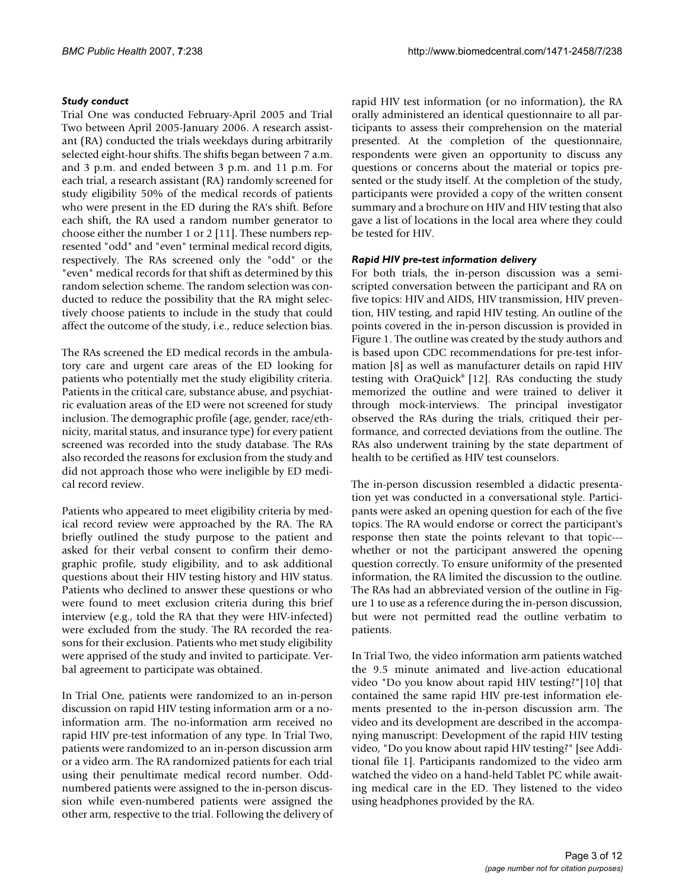# *Study conduct*

Trial One was conducted February-April 2005 and Trial Two between April 2005-January 2006. A research assistant (RA) conducted the trials weekdays during arbitrarily selected eight-hour shifts. The shifts began between 7 a.m. and 3 p.m. and ended between 3 p.m. and 11 p.m. For each trial, a research assistant (RA) randomly screened for study eligibility 50% of the medical records of patients who were present in the ED during the RA's shift. Before each shift, the RA used a random number generator to choose either the number 1 or 2 [11]. These numbers represented "odd" and "even" terminal medical record digits, respectively. The RAs screened only the "odd" or the "even" medical records for that shift as determined by this random selection scheme. The random selection was conducted to reduce the possibility that the RA might selectively choose patients to include in the study that could affect the outcome of the study, i.e., reduce selection bias.

The RAs screened the ED medical records in the ambulatory care and urgent care areas of the ED looking for patients who potentially met the study eligibility criteria. Patients in the critical care, substance abuse, and psychiatric evaluation areas of the ED were not screened for study inclusion. The demographic profile (age, gender, race/ethnicity, marital status, and insurance type) for every patient screened was recorded into the study database. The RAs also recorded the reasons for exclusion from the study and did not approach those who were ineligible by ED medical record review.

Patients who appeared to meet eligibility criteria by medical record review were approached by the RA. The RA briefly outlined the study purpose to the patient and asked for their verbal consent to confirm their demographic profile, study eligibility, and to ask additional questions about their HIV testing history and HIV status. Patients who declined to answer these questions or who were found to meet exclusion criteria during this brief interview (e.g., told the RA that they were HIV-infected) were excluded from the study. The RA recorded the reasons for their exclusion. Patients who met study eligibility were apprised of the study and invited to participate. Verbal agreement to participate was obtained.

In Trial One, patients were randomized to an in-person discussion on rapid HIV testing information arm or a noinformation arm. The no-information arm received no rapid HIV pre-test information of any type. In Trial Two, patients were randomized to an in-person discussion arm or a video arm. The RA randomized patients for each trial using their penultimate medical record number. Oddnumbered patients were assigned to the in-person discussion while even-numbered patients were assigned the other arm, respective to the trial. Following the delivery of rapid HIV test information (or no information), the RA orally administered an identical questionnaire to all participants to assess their comprehension on the material presented. At the completion of the questionnaire, respondents were given an opportunity to discuss any questions or concerns about the material or topics presented or the study itself. At the completion of the study, participants were provided a copy of the written consent summary and a brochure on HIV and HIV testing that also gave a list of locations in the local area where they could be tested for HIV.

# *Rapid HIV pre-test information delivery*

For both trials, the in-person discussion was a semiscripted conversation between the participant and RA on five topics: HIV and AIDS, HIV transmission, HIV prevention, HIV testing, and rapid HIV testing. An outline of the points covered in the in-person discussion is provided in Figure 1. The outline was created by the study authors and is based upon CDC recommendations for pre-test information [8] as well as manufacturer details on rapid HIV testing with OraQuick® [12]. RAs conducting the study memorized the outline and were trained to deliver it through mock-interviews. The principal investigator observed the RAs during the trials, critiqued their performance, and corrected deviations from the outline. The RAs also underwent training by the state department of health to be certified as HIV test counselors.

The in-person discussion resembled a didactic presentation yet was conducted in a conversational style. Participants were asked an opening question for each of the five topics. The RA would endorse or correct the participant's response then state the points relevant to that topic-- whether or not the participant answered the opening question correctly. To ensure uniformity of the presented information, the RA limited the discussion to the outline. The RAs had an abbreviated version of the outline in Figure 1 to use as a reference during the in-person discussion, but were not permitted read the outline verbatim to patients.

In Trial Two, the video information arm patients watched the 9.5 minute animated and live-action educational video "Do you know about rapid HIV testing?"[10] that contained the same rapid HIV pre-test information elements presented to the in-person discussion arm. The video and its development are described in the accompanying manuscript: Development of the rapid HIV testing video, "Do you know about rapid HIV testing?" [see Additional file 1]. Participants randomized to the video arm watched the video on a hand-held Tablet PC while awaiting medical care in the ED. They listened to the video using headphones provided by the RA.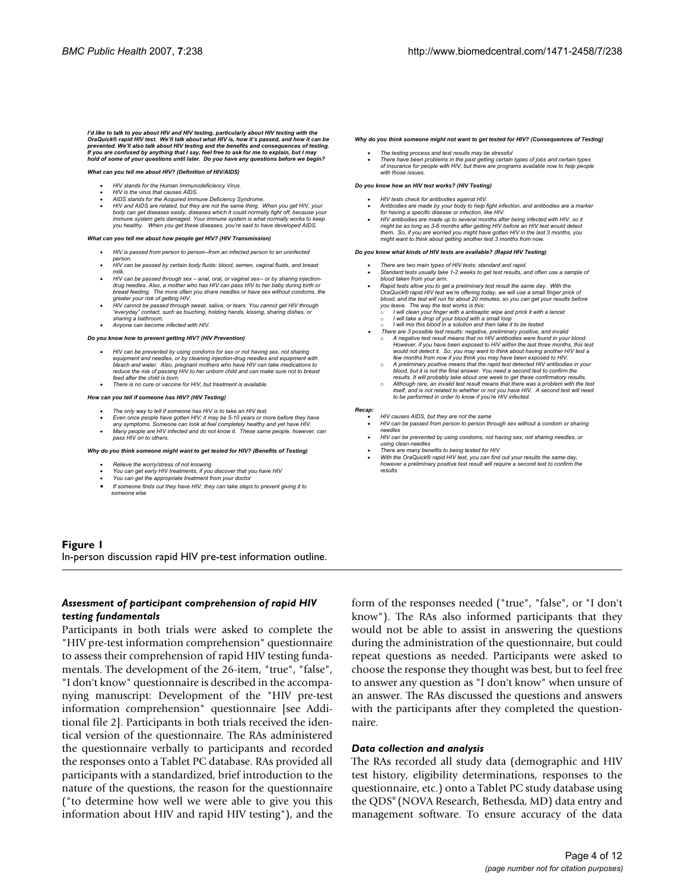l'd like to talk to you about HIV and HIV testing, particularly about HIV testing with the<br>OraQuick® rapid HIV test. We'll talk about what HIV is, how it's passed, and how it can be<br>prevented. We'll also talk about HIV te *hold of some of your questions until later. Do you have any questions before we begin?* 

*What can you tell me about HIV? (Definition of HIV/AIDS)* 

- x *HIV stands for the Human Immunodeficiency Virus.*
- x *HIV is the virus that causes AIDS.*
- x *AIDS stands for the Acquired Immune Deficiency Syndrome.*
- HIV and AIDS are related, but they are not the same thing. When you get HIV, your<br>body can get diseases easily, diseases which it could normally fight off, because your<br>immune system gets damaged. Your immune system is w

#### *What can you tell me about how people get HIV? (HIV Transmission)*

- x *HIV is passed from person to person--from an infected person to an uninfected*
- *person.* x *HIV can be passed by certain body fluids: blood, semen, vaginal fluids, and breast milk.*
- HIV can be passed through sex anal, oral, or vaginal sex-- or by sharing injection*drug needles. Also, a mother who has HIV can pass HIV to her baby during birth or breast feeding. The more often you share needles or have sex without condoms, the greater your risk of getting HIV.*
- x *HIV cannot be passed through sweat, saliva, or tears. You cannot get HIV through "everyday" contact, such as touching, holding hands, kissing, sharing dishes, or sharing a bathroom.*
- x *Anyone can become infected with HIV.*

#### *Do you know how to prevent getting HIV? (HIV Prevention)*

- HIV can be prevented by using condoms for sex or not having sex, not sharing<br>equipment and needles, or by cleaning injection-drug needles and equipment with<br>bleach and water. Also, pregnant mothers who have HIV can take *feed after the child is born.*
- x *There is no cure or vaccine for HIV, but treatment is available.*

#### *How can you tell if someone has HIV? (HIV Testing)*

- **•** The only way to tell if someone has HIV is to take an HIV test.
- x *Even once people have gotten HIV; it may be 5-10 years or more before they have any symptoms. Someone can look at feel completely healthy and yet have HIV.*
- x *Many people are HIV infected and do not know it. These same people, however, can pass HIV on to others.*

*Why do you think someone might want to get tested for HIV? (Benefits of Testing)* 

- x *Relieve the worry/stress of not knowing*
- x *You can get early HIV treatments, if you discover that you have HIV*  x *You can get the appropriate treatment from your doctor*
- 
- x *If someone finds out they have HIV, they can take steps to prevent giving it to someone else*

#### **Figure 1**

In-person discussion rapid HIV pre-test information outline.

#### *Assessment of participant comprehension of rapid HIV testing fundamentals*

Participants in both trials were asked to complete the "HIV pre-test information comprehension" questionnaire to assess their comprehension of rapid HIV testing fundamentals. The development of the 26-item, "true", "false", "I don't know" questionnaire is described in the accompanying manuscript: Development of the "HIV pre-test information comprehension" questionnaire [see Additional file 2]. Participants in both trials received the identical version of the questionnaire. The RAs administered the questionnaire verbally to participants and recorded the responses onto a Tablet PC database. RAs provided all participants with a standardized, brief introduction to the nature of the questions, the reason for the questionnaire ("to determine how well we were able to give you this information about HIV and rapid HIV testing"), and the

#### *Why do you think someone might not want to get tested for HIV? (Consequences of Testing)*

- 
- The testing process and test results may be stressful<br>- There have been problems in the past getting certain types of jobs and certain types<br>of insurance for people with HIV, but there are programs available now to help

#### *Do you know how an HIV test works? (HIV Testing)*

- x *HIV tests check for antibodies against HIV.*
- 
- Antibodies are made by your body to help fight infection, and antibodies are a marker<br>- for having a specific disease or infection, like HIV.<br>- HIV antibodies are made up to several months after being infected with HIV, *might be as long as 3-6 months after getting HIV before an HIV test would detect them. So, if you are worried you might have gotten HIV in the last 3 months, you might want to think about getting another test 3 months from now.*

#### *Do you know what kinds of HIV tests are available? (Rapid HIV Testing)*

- x *There are two main types of HIV tests: standard and rapid.*
- x *Standard tests usually take 1-2 weeks to get test results, and often use a sample of blood taken from your arm.*
- Rapid tests allow you to get a preliminary test result the same day. With the<br>OraQuick® rapid HIV test we're offering today, we will use a small finger prick of<br>blood, and the test will run for about 20 minutes, so you c
- *you leave. The way the test works is this:*  o *I will clean your finger with a antiseptic wipe and prick it with a lancet*
- o *I will take a drop of your blood with a small loop*
- *I* will mix this blood in a solution and then take it to be tested
- x *There are 3 possible test results: negative, preliminary positive, and invalid*  o *A negative test result means that no HIV antibodies were found in your blood. However, if you have been exposed to HIV within the last three months, this test would not detect it. So, you may want to think about having another HIV test a* 
	- few months from now if you think you may have been exposed to HIV.<br>A preliminary positive means that the rapid test detected HIV antibodies in your<br>blood, but it is not the final answer. You need a second test to confirm<br>r
	- o *Although rare, an invalid test result means that there was a problem with the test itself, and is not related to whether or not you have HIV. A second test will need .*<br>*to be performed in order to know if you're HIV infected.*
- *Recap:* 
	- x *HIV causes AIDS, but they are not the same*
	- x *HIV can be passed from person to person through sex without a condom or sharing needles* x *HIV can be prevented by using condoms, not having sex, not sharing needles, or*
	- *using clean needles*
	- x *There are many benefits to being tested for HIV*
	- *With the OraQuick® rapid HIV test, you can find out your results the same day,* $\frac{1}{2}$ *however a preliminary positive test result will require a second test to confirm the results*

form of the responses needed ("true", "false", or "I don't know"). The RAs also informed participants that they would not be able to assist in answering the questions during the administration of the questionnaire, but could repeat questions as needed. Participants were asked to choose the response they thought was best, but to feel free to answer any question as "I don't know" when unsure of an answer. The RAs discussed the questions and answers with the participants after they completed the questionnaire.

#### *Data collection and analysis*

The RAs recorded all study data (demographic and HIV test history, eligibility determinations, responses to the questionnaire, etc.) onto a Tablet PC study database using the QDS® (NOVA Research, Bethesda, MD) data entry and management software. To ensure accuracy of the data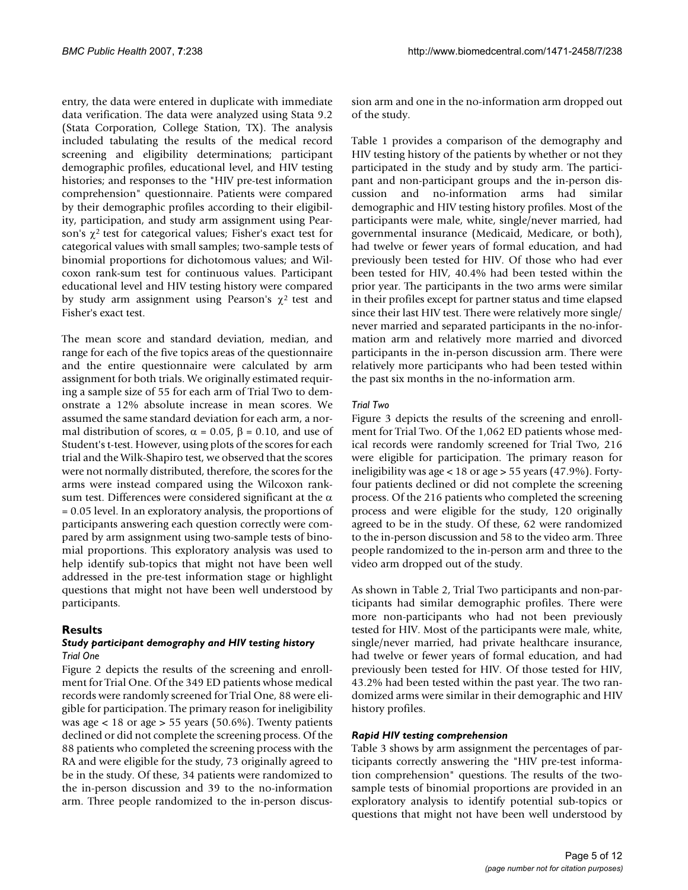entry, the data were entered in duplicate with immediate data verification. The data were analyzed using Stata 9.2 (Stata Corporation, College Station, TX). The analysis included tabulating the results of the medical record screening and eligibility determinations; participant demographic profiles, educational level, and HIV testing histories; and responses to the "HIV pre-test information comprehension" questionnaire. Patients were compared by their demographic profiles according to their eligibility, participation, and study arm assignment using Pearson's  $\chi^2$  test for categorical values; Fisher's exact test for categorical values with small samples; two-sample tests of binomial proportions for dichotomous values; and Wilcoxon rank-sum test for continuous values. Participant educational level and HIV testing history were compared by study arm assignment using Pearson's  $\chi^2$  test and Fisher's exact test.

The mean score and standard deviation, median, and range for each of the five topics areas of the questionnaire and the entire questionnaire were calculated by arm assignment for both trials. We originally estimated requiring a sample size of 55 for each arm of Trial Two to demonstrate a 12% absolute increase in mean scores. We assumed the same standard deviation for each arm, a normal distribution of scores,  $\alpha$  = 0.05,  $\beta$  = 0.10, and use of Student's t-test. However, using plots of the scores for each trial and the Wilk-Shapiro test, we observed that the scores were not normally distributed, therefore, the scores for the arms were instead compared using the Wilcoxon ranksum test. Differences were considered significant at the  $\alpha$ = 0.05 level. In an exploratory analysis, the proportions of participants answering each question correctly were compared by arm assignment using two-sample tests of binomial proportions. This exploratory analysis was used to help identify sub-topics that might not have been well addressed in the pre-test information stage or highlight questions that might not have been well understood by participants.

# **Results**

#### *Study participant demography and HIV testing history Trial One*

Figure 2 depicts the results of the screening and enrollment for Trial One. Of the 349 ED patients whose medical records were randomly screened for Trial One, 88 were eligible for participation. The primary reason for ineligibility was age  $<$  18 or age  $>$  55 years (50.6%). Twenty patients declined or did not complete the screening process. Of the 88 patients who completed the screening process with the RA and were eligible for the study, 73 originally agreed to be in the study. Of these, 34 patients were randomized to the in-person discussion and 39 to the no-information arm. Three people randomized to the in-person discussion arm and one in the no-information arm dropped out of the study.

Table 1 provides a comparison of the demography and HIV testing history of the patients by whether or not they participated in the study and by study arm. The participant and non-participant groups and the in-person discussion and no-information arms had similar demographic and HIV testing history profiles. Most of the participants were male, white, single/never married, had governmental insurance (Medicaid, Medicare, or both), had twelve or fewer years of formal education, and had previously been tested for HIV. Of those who had ever been tested for HIV, 40.4% had been tested within the prior year. The participants in the two arms were similar in their profiles except for partner status and time elapsed since their last HIV test. There were relatively more single/ never married and separated participants in the no-information arm and relatively more married and divorced participants in the in-person discussion arm. There were relatively more participants who had been tested within the past six months in the no-information arm.

### *Trial Two*

Figure 3 depicts the results of the screening and enrollment for Trial Two. Of the 1,062 ED patients whose medical records were randomly screened for Trial Two, 216 were eligible for participation. The primary reason for ineligibility was age  $< 18$  or age  $> 55$  years (47.9%). Fortyfour patients declined or did not complete the screening process. Of the 216 patients who completed the screening process and were eligible for the study, 120 originally agreed to be in the study. Of these, 62 were randomized to the in-person discussion and 58 to the video arm. Three people randomized to the in-person arm and three to the video arm dropped out of the study.

As shown in Table 2, Trial Two participants and non-participants had similar demographic profiles. There were more non-participants who had not been previously tested for HIV. Most of the participants were male, white, single/never married, had private healthcare insurance, had twelve or fewer years of formal education, and had previously been tested for HIV. Of those tested for HIV, 43.2% had been tested within the past year. The two randomized arms were similar in their demographic and HIV history profiles.

### *Rapid HIV testing comprehension*

Table 3 shows by arm assignment the percentages of participants correctly answering the "HIV pre-test information comprehension" questions. The results of the twosample tests of binomial proportions are provided in an exploratory analysis to identify potential sub-topics or questions that might not have been well understood by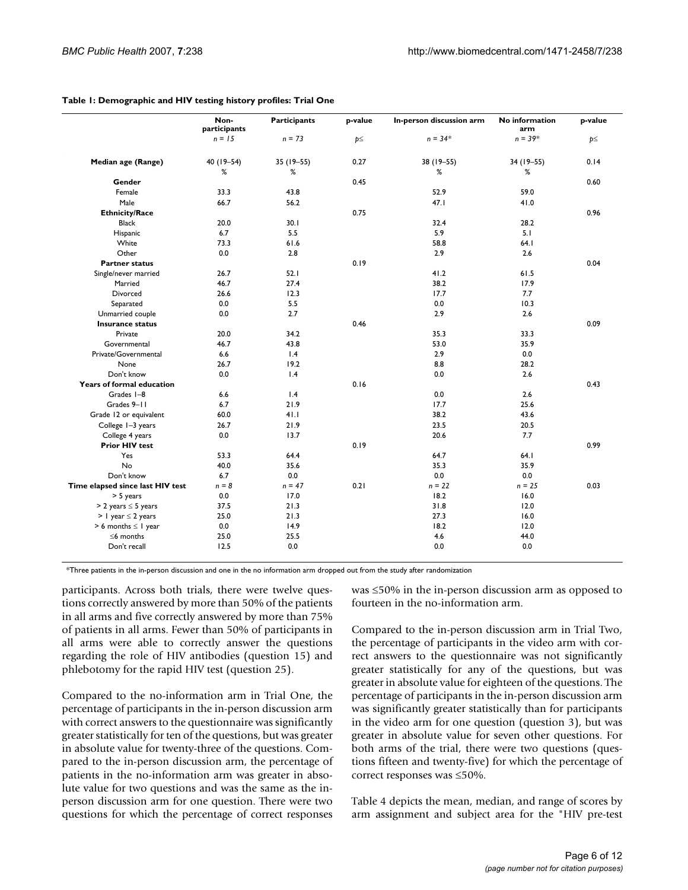|                                  | Non-<br>participants | <b>Participants</b> |      | In-person discussion arm | No information<br>arm | p-value |
|----------------------------------|----------------------|---------------------|------|--------------------------|-----------------------|---------|
|                                  | $n = 15$             | $n = 73$            | þ≤   | $n = 34*$                | $n = 39*$             | p≤      |
| Median age (Range)               | 40 (19-54)           | 35 (19-55)          | 0.27 | 38 (19-55)               | $34(19-55)$           | 0.14    |
|                                  | %                    | %                   |      | %                        | %                     |         |
| Gender                           |                      |                     | 0.45 |                          |                       | 0.60    |
| Female                           | 33.3                 | 43.8                |      | 52.9                     | 59.0                  |         |
| Male                             | 66.7                 | 56.2                |      | 47.1                     | 41.0                  |         |
| <b>Ethnicity/Race</b>            |                      |                     | 0.75 |                          |                       | 0.96    |
| <b>Black</b>                     | 20.0                 | 30.1                |      | 32.4                     | 28.2                  |         |
| Hispanic                         | 6.7                  | 5.5                 |      | 5.9                      | 5.1                   |         |
| White                            | 73.3                 | 61.6                |      | 58.8                     | 64.1                  |         |
| Other                            | 0.0                  | 2.8                 |      | 2.9                      | 2.6                   |         |
| <b>Partner status</b>            |                      |                     | 0.19 |                          |                       | 0.04    |
| Single/never married             | 26.7                 | 52.1                |      | 41.2                     | 61.5                  |         |
| Married                          | 46.7                 | 27.4                |      | 38.2                     | 17.9                  |         |
| Divorced                         | 26.6                 | 12.3                |      | 17.7                     | 7.7                   |         |
| Separated                        | 0.0                  | 5.5                 |      | 0.0                      | 10.3                  |         |
| Unmarried couple                 | 0.0                  | 2.7                 |      | 2.9                      | 2.6                   |         |
| <b>Insurance status</b>          |                      |                     | 0.46 |                          |                       | 0.09    |
| Private                          | 20.0                 | 34.2                |      | 35.3                     | 33.3                  |         |
| Governmental                     | 46.7                 | 43.8                |      | 53.0                     | 35.9                  |         |
| Private/Governmental             | 6.6                  | 1.4                 |      | 2.9                      | 0.0                   |         |
| None                             | 26.7                 | 19.2                |      | 8.8                      | 28.2                  |         |
| Don't know                       | 0.0                  | 1.4                 |      | 0.0                      | 2.6                   |         |
| <b>Years of formal education</b> |                      |                     | 0.16 |                          |                       | 0.43    |
| Grades I-8                       | 6.6                  | 1.4                 |      | 0.0                      | 2.6                   |         |
| Grades 9-11                      | 6.7                  | 21.9                |      | 17.7                     | 25.6                  |         |
| Grade 12 or equivalent           | 60.0                 | 41.1                |      | 38.2                     | 43.6                  |         |
| College 1-3 years                | 26.7                 | 21.9                |      | 23.5                     | 20.5                  |         |
| College 4 years                  | 0.0                  | 13.7                |      | 20.6                     | 7.7                   |         |
| <b>Prior HIV test</b>            |                      |                     | 0.19 |                          |                       | 0.99    |
| Yes                              | 53.3                 | 64.4                |      | 64.7                     | 64.1                  |         |
| No                               | 40.0                 | 35.6                |      | 35.3                     | 35.9                  |         |
| Don't know                       | 6.7                  | 0.0                 |      | 0.0                      | 0.0                   |         |
| Time elapsed since last HIV test | $n = 8$              | $n = 47$            | 0.21 | $n = 22$                 | $n = 25$              | 0.03    |
| $> 5$ years                      | 0.0                  | 17.0                |      | 18.2                     | 16.0                  |         |
| $>$ 2 years $\leq$ 5 years       | 37.5                 | 21.3                |      | 31.8                     | 12.0                  |         |
| $> 1$ year $\leq 2$ years        | 25.0                 | 21.3                |      | 27.3                     | 16.0                  |         |
| $> 6$ months $\leq 1$ year       | 0.0                  | 14.9                |      | 18.2                     | 12.0                  |         |
| $\leq$ 6 months                  | 25.0                 | 25.5                |      | 4.6                      | 44.0                  |         |
| Don't recall                     | 12.5                 | 0.0                 |      | 0.0                      | 0.0                   |         |

#### **Table 1: Demographic and HIV testing history profiles: Trial One**

\*Three patients in the in-person discussion and one in the no information arm dropped out from the study after randomization

participants. Across both trials, there were twelve questions correctly answered by more than 50% of the patients in all arms and five correctly answered by more than 75% of patients in all arms. Fewer than 50% of participants in all arms were able to correctly answer the questions regarding the role of HIV antibodies (question 15) and phlebotomy for the rapid HIV test (question 25).

Compared to the no-information arm in Trial One, the percentage of participants in the in-person discussion arm with correct answers to the questionnaire was significantly greater statistically for ten of the questions, but was greater in absolute value for twenty-three of the questions. Compared to the in-person discussion arm, the percentage of patients in the no-information arm was greater in absolute value for two questions and was the same as the inperson discussion arm for one question. There were two questions for which the percentage of correct responses was ≤50% in the in-person discussion arm as opposed to fourteen in the no-information arm.

Compared to the in-person discussion arm in Trial Two, the percentage of participants in the video arm with correct answers to the questionnaire was not significantly greater statistically for any of the questions, but was greater in absolute value for eighteen of the questions. The percentage of participants in the in-person discussion arm was significantly greater statistically than for participants in the video arm for one question (question 3), but was greater in absolute value for seven other questions. For both arms of the trial, there were two questions (questions fifteen and twenty-five) for which the percentage of correct responses was ≤50%.

Table 4 depicts the mean, median, and range of scores by arm assignment and subject area for the "HIV pre-test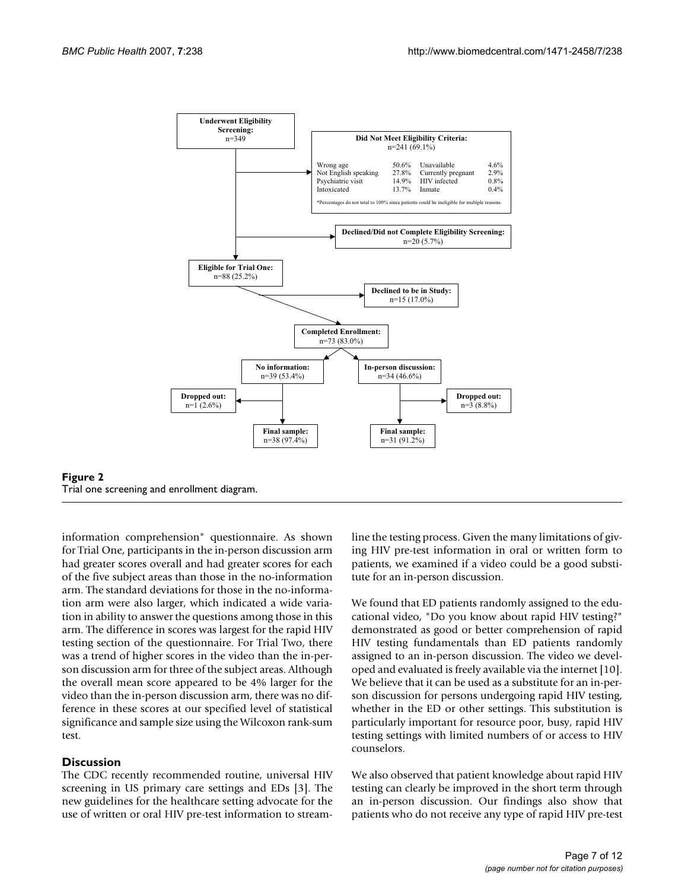

**Figure 2** Trial one screening and enrollment diagram.

information comprehension" questionnaire. As shown for Trial One, participants in the in-person discussion arm had greater scores overall and had greater scores for each of the five subject areas than those in the no-information arm. The standard deviations for those in the no-information arm were also larger, which indicated a wide variation in ability to answer the questions among those in this arm. The difference in scores was largest for the rapid HIV testing section of the questionnaire. For Trial Two, there was a trend of higher scores in the video than the in-person discussion arm for three of the subject areas. Although the overall mean score appeared to be 4% larger for the video than the in-person discussion arm, there was no difference in these scores at our specified level of statistical significance and sample size using the Wilcoxon rank-sum test.

### **Discussion**

The CDC recently recommended routine, universal HIV screening in US primary care settings and EDs [3]. The new guidelines for the healthcare setting advocate for the use of written or oral HIV pre-test information to streamline the testing process. Given the many limitations of giving HIV pre-test information in oral or written form to patients, we examined if a video could be a good substitute for an in-person discussion.

We found that ED patients randomly assigned to the educational video, "Do you know about rapid HIV testing?" demonstrated as good or better comprehension of rapid HIV testing fundamentals than ED patients randomly assigned to an in-person discussion. The video we developed and evaluated is freely available via the internet [10]. We believe that it can be used as a substitute for an in-person discussion for persons undergoing rapid HIV testing, whether in the ED or other settings. This substitution is particularly important for resource poor, busy, rapid HIV testing settings with limited numbers of or access to HIV counselors.

We also observed that patient knowledge about rapid HIV testing can clearly be improved in the short term through an in-person discussion. Our findings also show that patients who do not receive any type of rapid HIV pre-test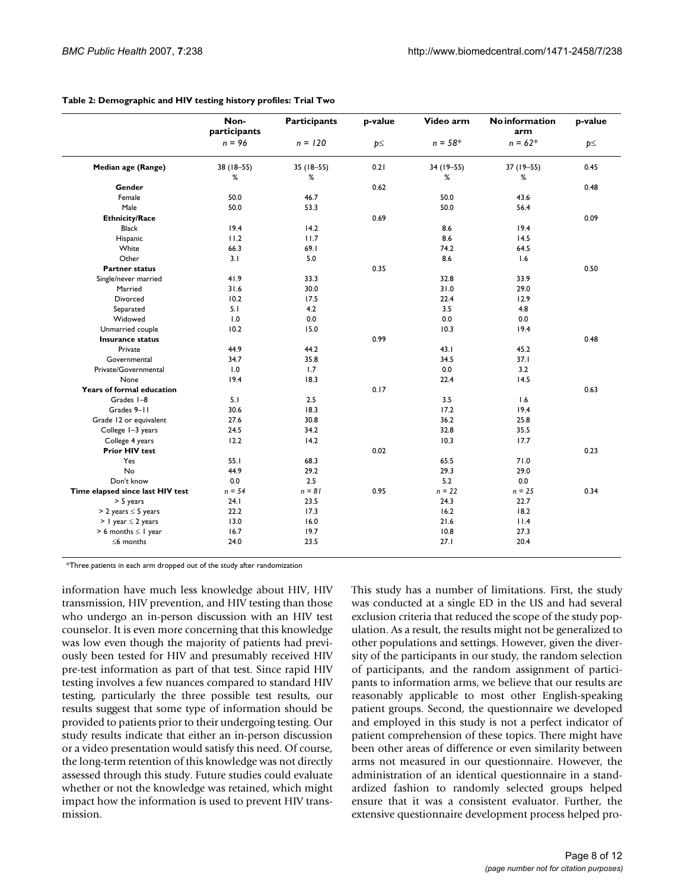|                                  | Non-<br>participants | <b>Participants</b> | p-value  | Video arm  | No information<br>arm | p-value |
|----------------------------------|----------------------|---------------------|----------|------------|-----------------------|---------|
|                                  | $n = 96$             | $n = 120$           | $p \leq$ | $n = 58*$  | $n = 62*$             | p≤      |
| Median age (Range)               | 38 (18-55)           | $35(18 - 55)$       | 0.21     | 34 (19-55) | $37(19 - 55)$         | 0.45    |
|                                  | %                    | %                   |          | %          | %                     |         |
| Gender                           |                      |                     | 0.62     |            |                       | 0.48    |
| Female                           | 50.0                 | 46.7                |          | 50.0       | 43.6                  |         |
| Male                             | 50.0                 | 53.3                |          | 50.0       | 56.4                  |         |
| <b>Ethnicity/Race</b>            |                      |                     | 0.69     |            |                       | 0.09    |
| Black                            | 19.4                 | 14.2                |          | 8.6        | 19.4                  |         |
| Hispanic                         | 11.2                 | 11.7                |          | 8.6        | 14.5                  |         |
| White                            | 66.3                 | 69.1                |          | 74.2       | 64.5                  |         |
| Other                            | 3.1                  | 5.0                 |          | 8.6        | 1.6                   |         |
| <b>Partner status</b>            |                      |                     | 0.35     |            |                       | 0.50    |
| Single/never married             | 41.9                 | 33.3                |          | 32.8       | 33.9                  |         |
| Married                          | 31.6                 | 30.0                |          | 31.0       | 29.0                  |         |
| Divorced                         | 10.2                 | 17.5                |          | 22.4       | 12.9                  |         |
| Separated                        | 5.1                  | 4.2                 |          | 3.5        | 4.8                   |         |
| Widowed                          | 1.0                  | 0.0                 |          | 0.0        | 0.0                   |         |
| Unmarried couple                 | 10.2                 | 15.0                |          | 10.3       | 19.4                  |         |
| <b>Insurance status</b>          |                      |                     | 0.99     |            |                       | 0.48    |
| Private                          | 44.9                 | 44.2                |          | 43.1       | 45.2                  |         |
| Governmental                     | 34.7                 | 35.8                |          | 34.5       | 37.1                  |         |
| Private/Governmental             | 1.0                  | 1.7                 |          | 0.0        | 3.2                   |         |
| None                             | 19.4                 | 18.3                |          | 22.4       | 14.5                  |         |
| <b>Years of formal education</b> |                      |                     | 0.17     |            |                       | 0.63    |
| Grades I-8                       | 5.1                  | 2.5                 |          | 3.5        | 1.6                   |         |
| Grades 9-11                      | 30.6                 | 18.3                |          | 17.2       | 19.4                  |         |
| Grade 12 or equivalent           | 27.6                 | 30.8                |          | 36.2       | 25.8                  |         |
| College 1-3 years                | 24.5                 | 34.2                |          | 32.8       | 35.5                  |         |
| College 4 years                  | 12.2                 | 14.2                |          | 10.3       | 17.7                  |         |
| <b>Prior HIV test</b>            |                      |                     | 0.02     |            |                       | 0.23    |
| Yes                              | 55.1                 | 68.3                |          | 65.5       | 71.0                  |         |
| <b>No</b>                        | 44.9                 | 29.2                |          | 29.3       | 29.0                  |         |
| Don't know                       | 0.0                  | 2.5                 |          | 5.2        | 0.0                   |         |
| Time elapsed since last HIV test | $n = 54$             | $n = 81$            | 0.95     | $n = 22$   | $n = 25$              | 0.34    |
| > 5 years                        | 24.1                 | 23.5                |          | 24.3       | 22.7                  |         |
| $>$ 2 years $\leq$ 5 years       | 22.2                 | 17.3                |          | 16.2       | 18.2                  |         |
| $>$   year $\leq$ 2 years        | 13.0                 | 16.0                |          | 21.6       | 11.4                  |         |
| $> 6$ months $\leq 1$ year       | 16.7                 | 19.7                |          | 10.8       | 27.3                  |         |
| $\leq$ 6 months                  | 24.0                 | 23.5                |          | 27.1       | 20.4                  |         |

#### **Table 2: Demographic and HIV testing history profiles: Trial Two**

\*Three patients in each arm dropped out of the study after randomization

information have much less knowledge about HIV, HIV transmission, HIV prevention, and HIV testing than those who undergo an in-person discussion with an HIV test counselor. It is even more concerning that this knowledge was low even though the majority of patients had previously been tested for HIV and presumably received HIV pre-test information as part of that test. Since rapid HIV testing involves a few nuances compared to standard HIV testing, particularly the three possible test results, our results suggest that some type of information should be provided to patients prior to their undergoing testing. Our study results indicate that either an in-person discussion or a video presentation would satisfy this need. Of course, the long-term retention of this knowledge was not directly assessed through this study. Future studies could evaluate whether or not the knowledge was retained, which might impact how the information is used to prevent HIV transmission.

This study has a number of limitations. First, the study was conducted at a single ED in the US and had several exclusion criteria that reduced the scope of the study population. As a result, the results might not be generalized to other populations and settings. However, given the diversity of the participants in our study, the random selection of participants, and the random assignment of participants to information arms, we believe that our results are reasonably applicable to most other English-speaking patient groups. Second, the questionnaire we developed and employed in this study is not a perfect indicator of patient comprehension of these topics. There might have been other areas of difference or even similarity between arms not measured in our questionnaire. However, the administration of an identical questionnaire in a standardized fashion to randomly selected groups helped ensure that it was a consistent evaluator. Further, the extensive questionnaire development process helped pro-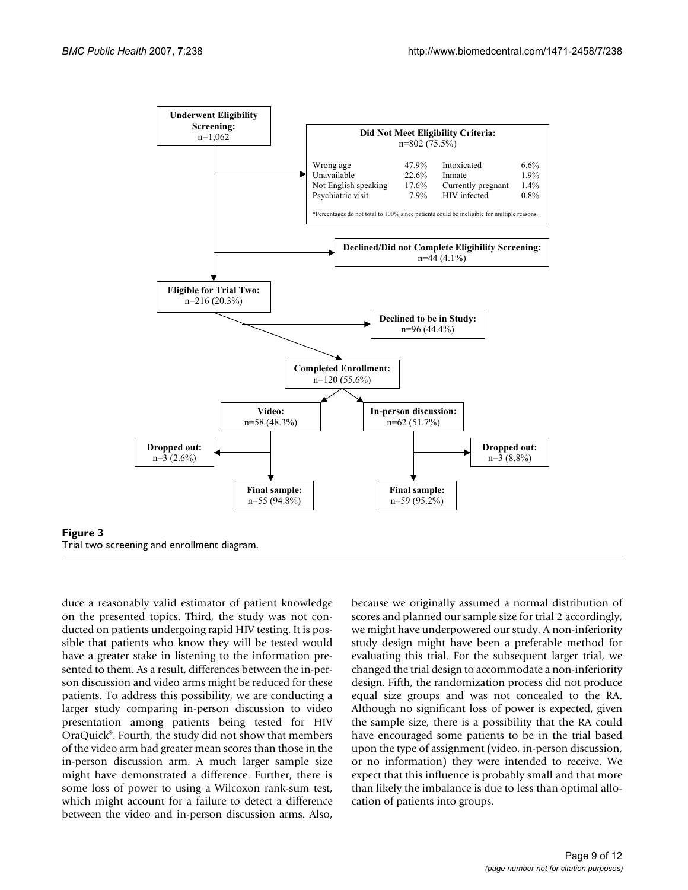

duce a reasonably valid estimator of patient knowledge on the presented topics. Third, the study was not conducted on patients undergoing rapid HIV testing. It is possible that patients who know they will be tested would have a greater stake in listening to the information presented to them. As a result, differences between the in-person discussion and video arms might be reduced for these patients. To address this possibility, we are conducting a larger study comparing in-person discussion to video presentation among patients being tested for HIV OraQuick®. Fourth, the study did not show that members of the video arm had greater mean scores than those in the in-person discussion arm. A much larger sample size might have demonstrated a difference. Further, there is some loss of power to using a Wilcoxon rank-sum test, which might account for a failure to detect a difference between the video and in-person discussion arms. Also,

because we originally assumed a normal distribution of scores and planned our sample size for trial 2 accordingly, we might have underpowered our study. A non-inferiority study design might have been a preferable method for evaluating this trial. For the subsequent larger trial, we changed the trial design to accommodate a non-inferiority design. Fifth, the randomization process did not produce equal size groups and was not concealed to the RA. Although no significant loss of power is expected, given the sample size, there is a possibility that the RA could have encouraged some patients to be in the trial based upon the type of assignment (video, in-person discussion, or no information) they were intended to receive. We expect that this influence is probably small and that more than likely the imbalance is due to less than optimal allocation of patients into groups.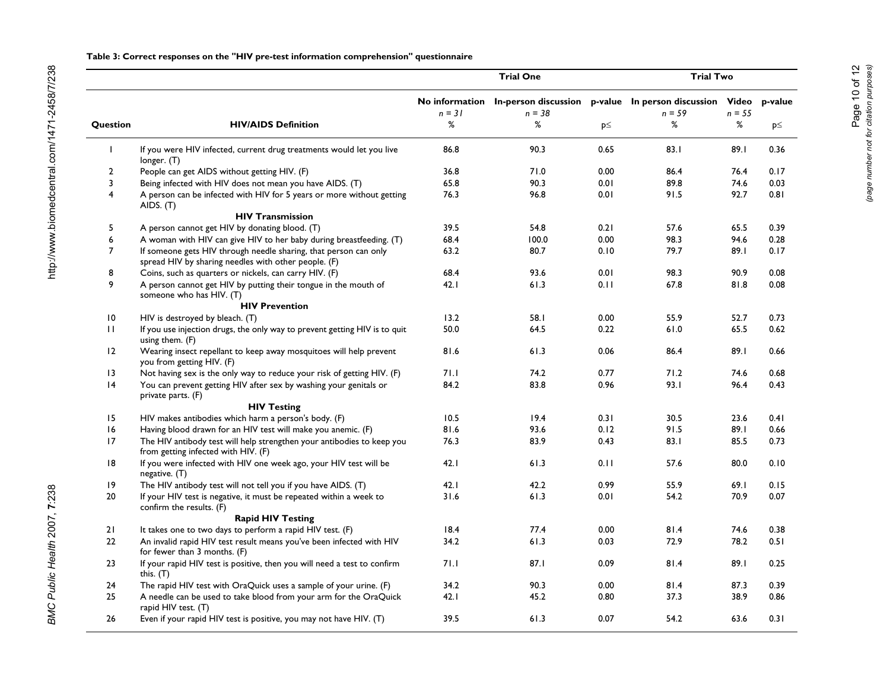|                |                                                                                                                          | <b>Trial One</b> |                                                                                    |          |          | <b>Trial Two</b> |         |  |  |
|----------------|--------------------------------------------------------------------------------------------------------------------------|------------------|------------------------------------------------------------------------------------|----------|----------|------------------|---------|--|--|
|                |                                                                                                                          | $n = 31$         | No information In-person discussion p-value In person discussion Video<br>$n = 38$ |          | $n = 59$ | $n = 55$         | p-value |  |  |
| Question       | <b>HIV/AIDS Definition</b>                                                                                               | %                | %                                                                                  | $p \leq$ | %        | %                | p≤      |  |  |
|                | If you were HIV infected, current drug treatments would let you live<br>longer. (T)                                      | 86.8             | 90.3                                                                               | 0.65     | 83.1     | 89.1             | 0.36    |  |  |
| $\overline{2}$ | People can get AIDS without getting HIV. (F)                                                                             | 36.8             | 71.0                                                                               | 0.00     | 86.4     | 76.4             | 0.17    |  |  |
| 3              | Being infected with HIV does not mean you have AIDS. (T)                                                                 | 65.8             | 90.3                                                                               | 0.01     | 89.8     | 74.6             | 0.03    |  |  |
| 4              | A person can be infected with HIV for 5 years or more without getting<br>AIDS. (T)                                       | 76.3             | 96.8                                                                               | 0.01     | 91.5     | 92.7             | 0.81    |  |  |
|                | <b>HIV Transmission</b>                                                                                                  |                  |                                                                                    |          |          |                  |         |  |  |
| 5              | A person cannot get HIV by donating blood. (T)                                                                           | 39.5             | 54.8                                                                               | 0.21     | 57.6     | 65.5             | 0.39    |  |  |
| 6              | A woman with HIV can give HIV to her baby during breastfeeding. (T)                                                      | 68.4             | 100.0                                                                              | 0.00     | 98.3     | 94.6             | 0.28    |  |  |
| 7              | If someone gets HIV through needle sharing, that person can only<br>spread HIV by sharing needles with other people. (F) | 63.2             | 80.7                                                                               | 0.10     | 79.7     | 89.I             | 0.17    |  |  |
| 8              | Coins, such as quarters or nickels, can carry HIV. (F)                                                                   | 68.4             | 93.6                                                                               | 0.01     | 98.3     | 90.9             | 0.08    |  |  |
| 9              | A person cannot get HIV by putting their tongue in the mouth of<br>someone who has HIV. (T)                              | 42.1             | 61.3                                                                               | 0.11     | 67.8     | 81.8             | 0.08    |  |  |
|                | <b>HIV Prevention</b>                                                                                                    |                  |                                                                                    |          |          |                  |         |  |  |
| 10             | HIV is destroyed by bleach. (T)                                                                                          | 13.2             | 58.1                                                                               | 0.00     | 55.9     | 52.7             | 0.73    |  |  |
| $\mathbf{H}$   | If you use injection drugs, the only way to prevent getting HIV is to quit<br>using them. $(F)$                          | 50.0             | 64.5                                                                               | 0.22     | 61.0     | 65.5             | 0.62    |  |  |
| $\overline{2}$ | Wearing insect repellant to keep away mosquitoes will help prevent<br>you from getting HIV. (F)                          | 81.6             | 61.3                                                                               | 0.06     | 86.4     | 89.1             | 0.66    |  |  |
| 13             | Not having sex is the only way to reduce your risk of getting HIV. (F)                                                   | 71.1             | 74.2                                                                               | 0.77     | 71.2     | 74.6             | 0.68    |  |  |
| 4              | You can prevent getting HIV after sex by washing your genitals or<br>private parts. (F)                                  | 84.2             | 83.8                                                                               | 0.96     | 93.1     | 96.4             | 0.43    |  |  |
|                | <b>HIV Testing</b>                                                                                                       |                  |                                                                                    |          |          |                  |         |  |  |
| 15             | HIV makes antibodies which harm a person's body. (F)                                                                     | 10.5             | 19.4                                                                               | 0.31     | 30.5     | 23.6             | 0.41    |  |  |
| 16             | Having blood drawn for an HIV test will make you anemic. (F)                                                             | 81.6             | 93.6                                                                               | 0.12     | 91.5     | 89.1             | 0.66    |  |  |
| 17             | The HIV antibody test will help strengthen your antibodies to keep you<br>from getting infected with HIV. (F)            | 76.3             | 83.9                                                                               | 0.43     | 83.1     | 85.5             | 0.73    |  |  |
| 18             | If you were infected with HIV one week ago, your HIV test will be<br>negative. (T)                                       | 42.1             | 61.3                                                                               | 0.11     | 57.6     | 80.0             | 0.10    |  |  |
| 19             | The HIV antibody test will not tell you if you have AIDS. (T)                                                            | 42.1             | 42.2                                                                               | 0.99     | 55.9     | 69.I             | 0.15    |  |  |
| 20             | If your HIV test is negative, it must be repeated within a week to<br>confirm the results. (F)                           | 31.6             | 61.3                                                                               | 0.01     | 54.2     | 70.9             | 0.07    |  |  |
|                | <b>Rapid HIV Testing</b>                                                                                                 |                  |                                                                                    |          |          |                  |         |  |  |
| 21             | It takes one to two days to perform a rapid HIV test. (F)                                                                | 18.4             | 77.4                                                                               | 0.00     | 81.4     | 74.6             | 0.38    |  |  |
| 22             | An invalid rapid HIV test result means you've been infected with HIV<br>for fewer than 3 months. (F)                     | 34.2             | 61.3                                                                               | 0.03     | 72.9     | 78.2             | 0.51    |  |  |
| 23             | If your rapid HIV test is positive, then you will need a test to confirm<br>this. $(T)$                                  | 71.1             | 87.1                                                                               | 0.09     | 81.4     | 89.I             | 0.25    |  |  |
| 24             | The rapid HIV test with OraQuick uses a sample of your urine. (F)                                                        | 34.2             | 90.3                                                                               | 0.00     | 81.4     | 87.3             | 0.39    |  |  |
| 25             | A needle can be used to take blood from your arm for the OraQuick<br>rapid HIV test. (T)                                 | 42.1             | 45.2                                                                               | 0.80     | 37.3     | 38.9             | 0.86    |  |  |
| 26             | Even if your rapid HIV test is positive, you may not have HIV. (T)                                                       | 39.5             | 61.3                                                                               | 0.07     | 54.2     | 63.6             | 0.31    |  |  |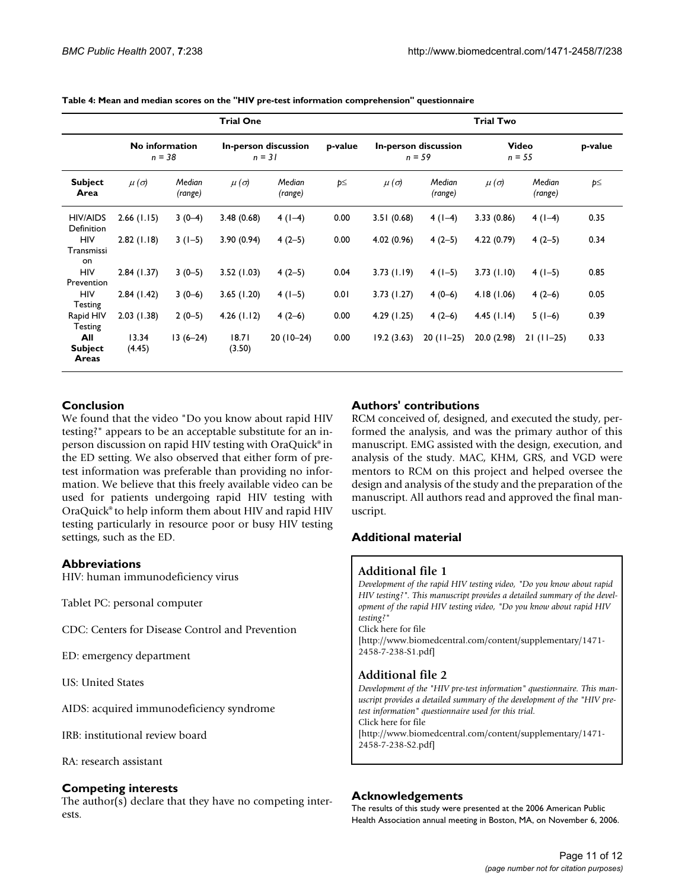**Table 4: Mean and median scores on the "HIV pre-test information comprehension" questionnaire**

|                                | <b>Trial One</b> |                                  |                 |                   |                                         | <b>Trial Two</b> |                          |               |                   |      |  |  |
|--------------------------------|------------------|----------------------------------|-----------------|-------------------|-----------------------------------------|------------------|--------------------------|---------------|-------------------|------|--|--|
| No information<br>$n = 38$     |                  | In-person discussion<br>$n = 31$ |                 | p-value           | <b>In-person discussion</b><br>$n = 59$ |                  | <b>Video</b><br>$n = 55$ |               | p-value           |      |  |  |
| <b>Subject</b><br>Area         | $\mu(\sigma)$    | Median<br>(range)                | $\mu(\sigma)$   | Median<br>(range) | Þ≤                                      | $\mu(\sigma)$    | Median<br>(range)        | $\mu(\sigma)$ | Median<br>(range) | Þ≤   |  |  |
| <b>HIV/AIDS</b><br>Definition  | $2.66$ (1.15)    | $3(0-4)$                         | 3.48(0.68)      | $4(1-4)$          | 0.00                                    | 3.51(0.68)       | $4(1-4)$                 | 3.33(0.86)    | $4(1-4)$          | 0.35 |  |  |
| <b>HIV</b><br>Transmissi<br>on | 2.82(1.18)       | $3(1-5)$                         | 3.90(0.94)      | $4(2-5)$          | 0.00                                    | 4.02(0.96)       | $4(2-5)$                 | 4.22(0.79)    | $4(2-5)$          | 0.34 |  |  |
| <b>HIV</b><br>Prevention       | 2.84(1.37)       | $3(0-5)$                         | 3.52(1.03)      | $4(2-5)$          | 0.04                                    | 3.73(1.19)       | $4(1-5)$                 | 3.73(1.10)    | $4(1-5)$          | 0.85 |  |  |
| <b>HIV</b><br><b>Testing</b>   | 2.84(1.42)       | $3(0-6)$                         | 3.65(1.20)      | $4(1-5)$          | 0.01                                    | 3.73(1.27)       | $4(0-6)$                 | 4.18(1.06)    | $4(2-6)$          | 0.05 |  |  |
| Rapid HIV<br><b>Testing</b>    | 2.03(1.38)       | $2(0-5)$                         | 4.26(1.12)      | $4(2-6)$          | 0.00                                    | 4.29(1.25)       | $4(2-6)$                 | 4.45(1.14)    | $5(1-6)$          | 0.39 |  |  |
| All<br><b>Subject</b><br>Areas | 13.34<br>(4.45)  | $13(6-24)$                       | 18.71<br>(3.50) | $20(10-24)$       | 0.00                                    | 19.2(3.63)       | $20(11-25)$              | 20.0 (2.98)   | $21(11-25)$       | 0.33 |  |  |

# **Conclusion**

We found that the video "Do you know about rapid HIV testing?" appears to be an acceptable substitute for an inperson discussion on rapid HIV testing with OraQuick® in the ED setting. We also observed that either form of pretest information was preferable than providing no information. We believe that this freely available video can be used for patients undergoing rapid HIV testing with OraQuick® to help inform them about HIV and rapid HIV testing particularly in resource poor or busy HIV testing settings, such as the ED.

### **Abbreviations**

HIV: human immunodeficiency virus

Tablet PC: personal computer

CDC: Centers for Disease Control and Prevention

ED: emergency department

US: United States

AIDS: acquired immunodeficiency syndrome

IRB: institutional review board

RA: research assistant

### **Competing interests**

The author(s) declare that they have no competing interests.

# **Authors' contributions**

RCM conceived of, designed, and executed the study, performed the analysis, and was the primary author of this manuscript. EMG assisted with the design, execution, and analysis of the study. MAC, KHM, GRS, and VGD were mentors to RCM on this project and helped oversee the design and analysis of the study and the preparation of the manuscript. All authors read and approved the final manuscript.

# **Additional material**

### **Additional file 1**

*Development of the rapid HIV testing video, "Do you know about rapid HIV testing?". This manuscript provides a detailed summary of the development of the rapid HIV testing video, "Do you know about rapid HIV testing?"* Click here for file [\[http://www.biomedcentral.com/content/supplementary/1471-](http://www.biomedcentral.com/content/supplementary/1471-2458-7-238-S1.pdf) 2458-7-238-S1.pdf]

# **Additional file 2**

*Development of the "HIV pre-test information" questionnaire. This manuscript provides a detailed summary of the development of the "HIV pretest information" questionnaire used for this trial.* Click here for file [\[http://www.biomedcentral.com/content/supplementary/1471-](http://www.biomedcentral.com/content/supplementary/1471-2458-7-238-S2.pdf) 2458-7-238-S2.pdf]

### **Acknowledgements**

The results of this study were presented at the 2006 American Public Health Association annual meeting in Boston, MA, on November 6, 2006.